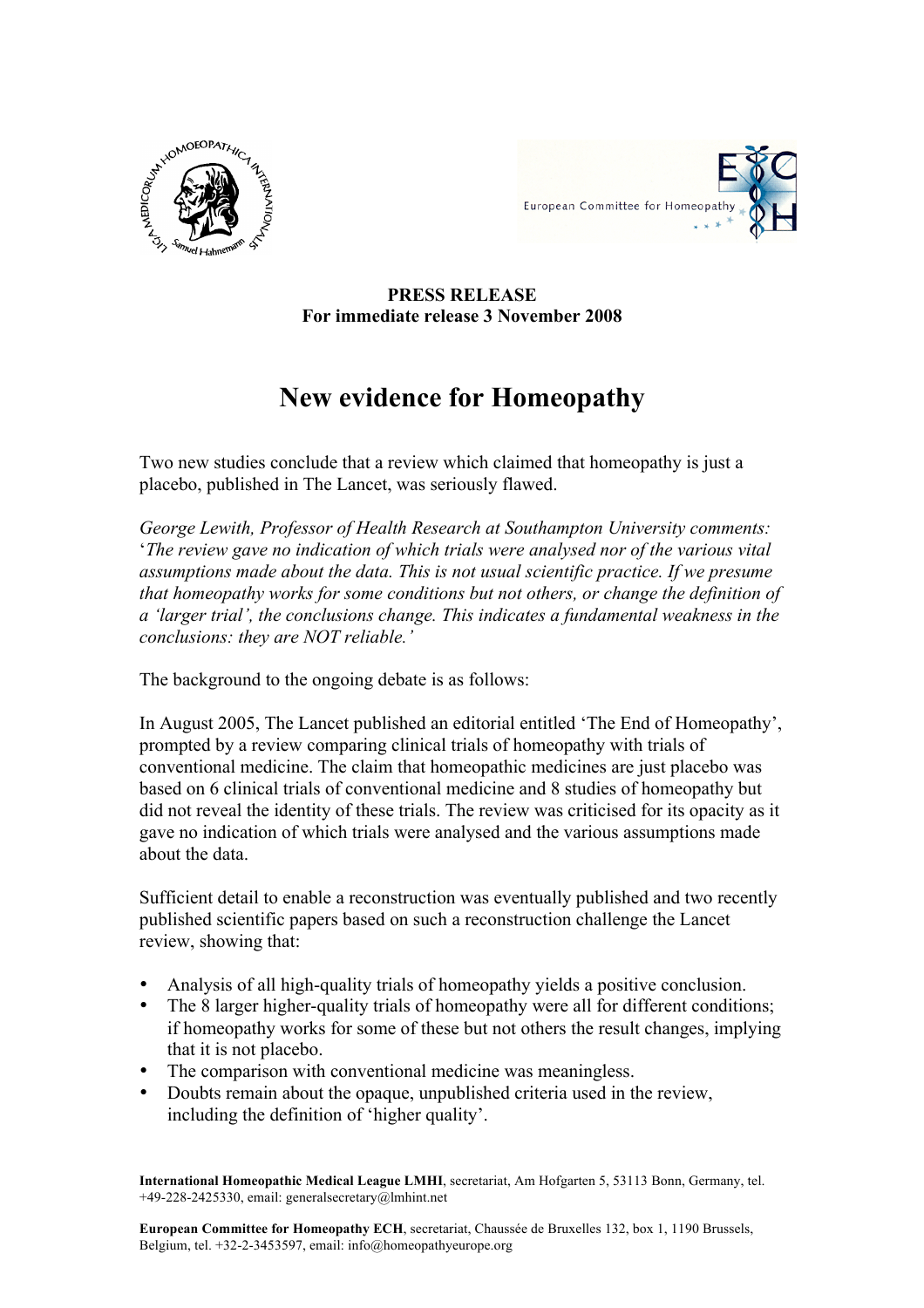



## **PRESS RELEASE For immediate release 3 November 2008**

## **New evidence for Homeopathy**

Two new studies conclude that a review which claimed that homeopathy is just a placebo, published in The Lancet, was seriously flawed.

*George Lewith, Professor of Health Research at Southampton University comments:*  '*The review gave no indication of which trials were analysed nor of the various vital assumptions made about the data. This is not usual scientific practice. If we presume that homeopathy works for some conditions but not others, or change the definition of a 'larger trial', the conclusions change. This indicates a fundamental weakness in the conclusions: they are NOT reliable.'*

The background to the ongoing debate is as follows:

In August 2005, The Lancet published an editorial entitled 'The End of Homeopathy', prompted by a review comparing clinical trials of homeopathy with trials of conventional medicine. The claim that homeopathic medicines are just placebo was based on 6 clinical trials of conventional medicine and 8 studies of homeopathy but did not reveal the identity of these trials. The review was criticised for its opacity as it gave no indication of which trials were analysed and the various assumptions made about the data.

Sufficient detail to enable a reconstruction was eventually published and two recently published scientific papers based on such a reconstruction challenge the Lancet review, showing that:

- Analysis of all high-quality trials of homeopathy yields a positive conclusion.
- The 8 larger higher-quality trials of homeopathy were all for different conditions; if homeopathy works for some of these but not others the result changes, implying that it is not placebo.
- The comparison with conventional medicine was meaningless.
- Doubts remain about the opaque, unpublished criteria used in the review, including the definition of 'higher quality'.

**International Homeopathic Medical League LMHI**, secretariat, Am Hofgarten 5, 53113 Bonn, Germany, tel. +49-228-2425330, email: generalsecretary@lmhint.net

**European Committee for Homeopathy ECH**, secretariat, Chaussée de Bruxelles 132, box 1, 1190 Brussels, Belgium, tel. +32-2-3453597, email: info@homeopathyeurope.org